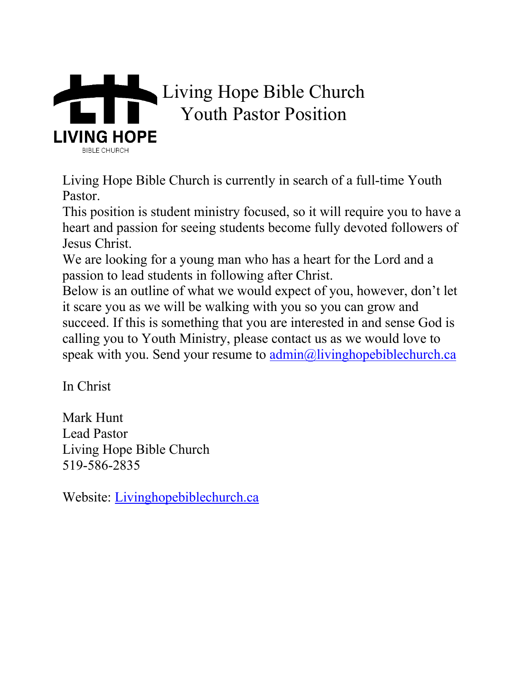

Living Hope Bible Church is currently in search of a full-time Youth Pastor.

This position is student ministry focused, so it will require you to have a heart and passion for seeing students become fully devoted followers of Jesus Christ.

We are looking for a young man who has a heart for the Lord and a passion to lead students in following after Christ.

Below is an outline of what we would expect of you, however, don't let it scare you as we will be walking with you so you can grow and succeed. If this is something that you are interested in and sense God is calling you to Youth Ministry, please contact us as we would love to speak with you. Send your resume to  $\frac{admin(a)}{livinghope}$ biblechurch.ca

In Christ

Mark Hunt Lead Pastor Living Hope Bible Church 519-586-2835

Website: Livinghopebiblechurch.ca